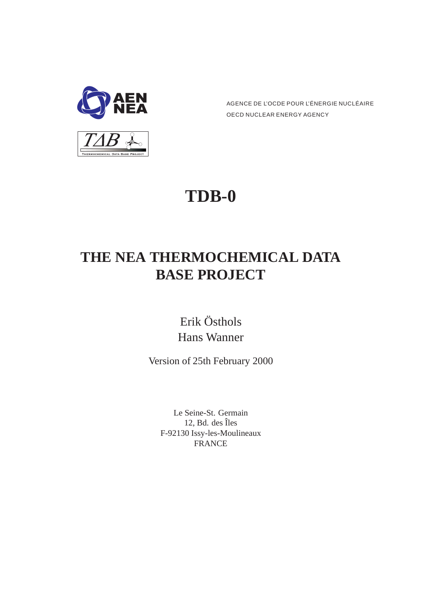

AGENCE DE L'OCDE POUR L'ÉNERGIE NUCLÉAIRE OECD NUCLEAR ENERGY AGENCY

# **TDB-0**

# **THE NEA THERMOCHEMICAL DATA BASE PROJECT**

Erik Östhols Hans Wanner

Version of 25th February 2000

Le Seine-St. Germain 12, Bd. des Îles F-92130 Issy-les-Moulineaux FRANCE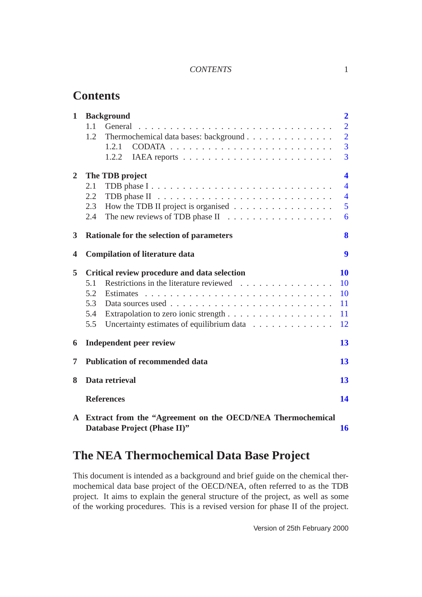#### *CONTENTS* 1

# **Contents**

| $\mathbf{1}$   | <b>Background</b>                                          | $\overline{2}$ |  |
|----------------|------------------------------------------------------------|----------------|--|
|                | General<br>1.1                                             | $\overline{2}$ |  |
|                | Thermochemical data bases: background<br>1.2               | $\overline{2}$ |  |
|                | 1.2.1                                                      | 3              |  |
|                | 1.2.2                                                      | 3              |  |
| $\overline{2}$ | The TDB project                                            | 4              |  |
|                | 2.1                                                        | $\overline{4}$ |  |
|                | 2.2                                                        | $\overline{4}$ |  |
|                | How the TDB II project is organised<br>2.3                 | 5              |  |
|                | 2.4                                                        | 6              |  |
| 3              | Rationale for the selection of parameters                  | 8              |  |
| 4              | <b>Compilation of literature data</b>                      | 9              |  |
| 5              | Critical review procedure and data selection               | 10             |  |
|                | Restrictions in the literature reviewed<br>5.1             | 10             |  |
|                | 5.2                                                        | 10             |  |
|                | 5.3                                                        | 11             |  |
|                | 5.4                                                        | 11             |  |
|                | 5.5<br>Uncertainty estimates of equilibrium data           | 12             |  |
| 6              | <b>Independent peer review</b>                             | 13             |  |
| 7              | <b>Publication of recommended data</b>                     | 13             |  |
| 8              | Data retrieval                                             | 13             |  |
|                | <b>References</b>                                          | 14             |  |
| $\mathbf{A}$   | Extract from the "Agreement on the OECD/NEA Thermochemical |                |  |
|                | Database Project (Phase II)"                               | 16             |  |

# **The NEA Thermochemical Data Base Project**

This document is intended as a background and brief guide on the chemical thermochemical data base project of the OECD/NEA, often referred to as the TDB project. It aims to explain the general structure of the project, as well as some of the working procedures. This is a revised version for phase II of the project.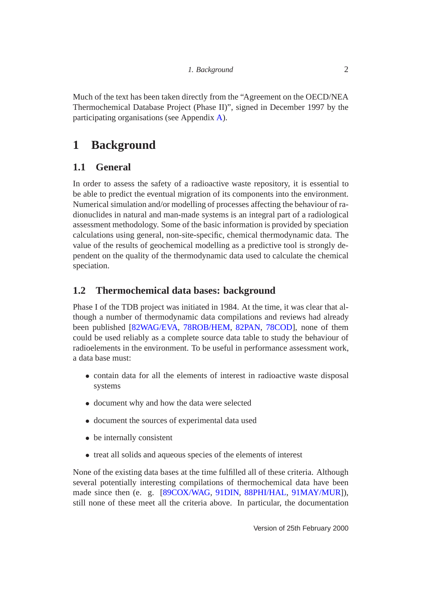<span id="page-2-3"></span>Much of the text has been taken directly from the "Agreement on the OECD/NEA Thermochemical Database Project (Phase II)", signed in December 1997 by the participating organisations (see Appendix [A\)](#page-16-0).

# <span id="page-2-0"></span>**1 Background**

# <span id="page-2-1"></span>**1.1 General**

In order to assess the safety of a radioactive waste repository, it is essential to be able to predict the eventual migration of its components into the environment. Numerical simulation and/or modelling of processes affecting the behaviour of radionuclides in natural and man-made systems is an integral part of a radiological assessment methodology. Some of the basic information is provided by speciation calculations using general, non-site-specific, chemical thermodynamic data. The value of the results of geochemical modelling as a predictive tool is strongly dependent on the quality of the thermodynamic data used to calculate the chemical speciation.

# <span id="page-2-2"></span>**1.2 Thermochemical data bases: background**

Phase I of the TDB project was initiated in 1984. At the time, it was clear that although a number of thermodynamic data compilations and reviews had already been published [\[82WAG/EVA,](#page-14-1) [78ROB/HEM,](#page-14-2) [82PAN,](#page-14-3) [78COD\]](#page-14-4), none of them could be used reliably as a complete source data table to study the behaviour of radioelements in the environment. To be useful in performance assessment work, a data base must:

- contain data for all the elements of interest in radioactive waste disposal systems
- document why and how the data were selected
- document the sources of experimental data used
- be internally consistent
- treat all solids and aqueous species of the elements of interest

None of the existing data bases at the time fulfilled all of these criteria. Although several potentially interesting compilations of thermochemical data have been made since then (e. g. [\[89COX/WAG,](#page-15-0) [91DIN,](#page-15-1) [88PHI/HAL,](#page-15-2) [91MAY/MUR\]](#page-15-3)), still none of these meet all the criteria above. In particular, the documentation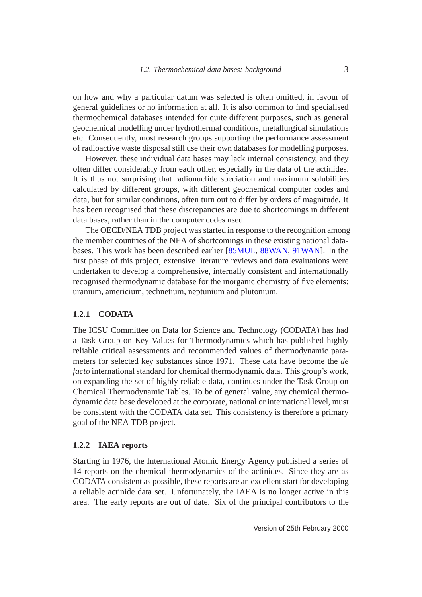<span id="page-3-2"></span>on how and why a particular datum was selected is often omitted, in favour of general guidelines or no information at all. It is also common to find specialised thermochemical databases intended for quite different purposes, such as general geochemical modelling under hydrothermal conditions, metallurgical simulations etc. Consequently, most research groups supporting the performance assessment of radioactive waste disposal still use their own databases for modelling purposes.

However, these individual data bases may lack internal consistency, and they often differ considerably from each other, especially in the data of the actinides. It is thus not surprising that radionuclide speciation and maximum solubilities calculated by different groups, with different geochemical computer codes and data, but for similar conditions, often turn out to differ by orders of magnitude. It has been recognised that these discrepancies are due to shortcomings in different data bases, rather than in the computer codes used.

The OECD/NEA TDB project was started in response to the recognition among the member countries of the NEA of shortcomings in these existing national databases. This work has been described earlier [\[85MUL,](#page-14-5) [88WAN,](#page-15-4) [91WAN\]](#page-15-5). In the first phase of this project, extensive literature reviews and data evaluations were undertaken to develop a comprehensive, internally consistent and internationally recognised thermodynamic database for the inorganic chemistry of five elements: uranium, americium, technetium, neptunium and plutonium.

#### <span id="page-3-0"></span>**1.2.1 CODATA**

The ICSU Committee on Data for Science and Technology (CODATA) has had a Task Group on Key Values for Thermodynamics which has published highly reliable critical assessments and recommended values of thermodynamic parameters for selected key substances since 1971. These data have become the *de facto* international standard for chemical thermodynamic data. This group's work, on expanding the set of highly reliable data, continues under the Task Group on Chemical Thermodynamic Tables. To be of general value, any chemical thermodynamic data base developed at the corporate, national or international level, must be consistent with the CODATA data set. This consistency is therefore a primary goal of the NEA TDB project.

#### <span id="page-3-1"></span>**1.2.2 IAEA reports**

Starting in 1976, the International Atomic Energy Agency published a series of 14 reports on the chemical thermodynamics of the actinides. Since they are as CODATA consistent as possible, these reports are an excellent start for developing a reliable actinide data set. Unfortunately, the IAEA is no longer active in this area. The early reports are out of date. Six of the principal contributors to the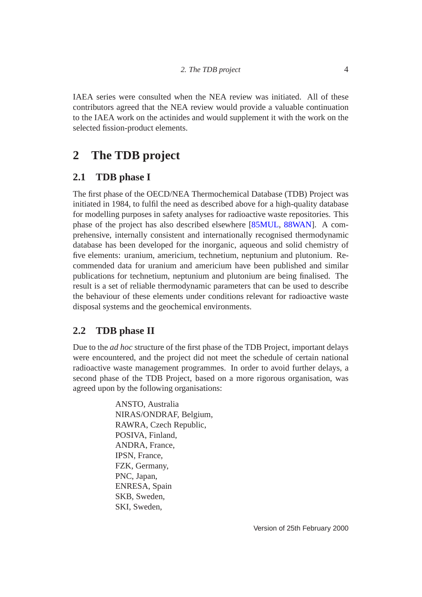<span id="page-4-3"></span>IAEA series were consulted when the NEA review was initiated. All of these contributors agreed that the NEA review would provide a valuable continuation to the IAEA work on the actinides and would supplement it with the work on the selected fission-product elements.

# <span id="page-4-0"></span>**2 The TDB project**

# <span id="page-4-1"></span>**2.1 TDB phase I**

The first phase of the OECD/NEA Thermochemical Database (TDB) Project was initiated in 1984, to fulfil the need as described above for a high-quality database for modelling purposes in safety analyses for radioactive waste repositories. This phase of the project has also described elsewhere [\[85MUL,](#page-14-5) [88WAN\]](#page-15-4). A comprehensive, internally consistent and internationally recognised thermodynamic database has been developed for the inorganic, aqueous and solid chemistry of five elements: uranium, americium, technetium, neptunium and plutonium. Recommended data for uranium and americium have been published and similar publications for technetium, neptunium and plutonium are being finalised. The result is a set of reliable thermodynamic parameters that can be used to describe the behaviour of these elements under conditions relevant for radioactive waste disposal systems and the geochemical environments.

# <span id="page-4-2"></span>**2.2 TDB phase II**

Due to the *ad hoc* structure of the first phase of the TDB Project, important delays were encountered, and the project did not meet the schedule of certain national radioactive waste management programmes. In order to avoid further delays, a second phase of the TDB Project, based on a more rigorous organisation, was agreed upon by the following organisations:

> ANSTO, Australia NIRAS/ONDRAF, Belgium, RAWRA, Czech Republic, POSIVA, Finland, ANDRA, France, IPSN, France, FZK, Germany, PNC, Japan, ENRESA, Spain SKB, Sweden, SKI, Sweden,

Version of 25th February 2000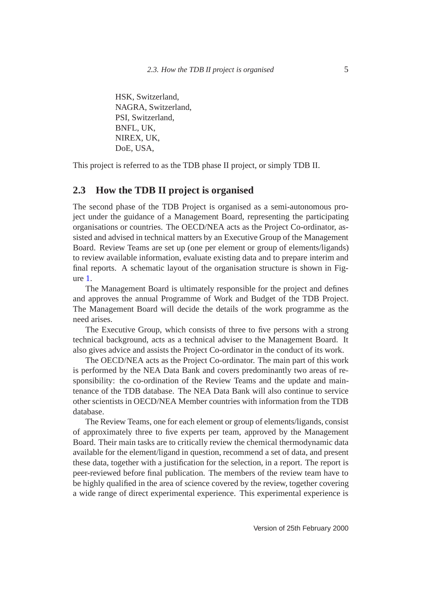HSK, Switzerland, NAGRA, Switzerland, PSI, Switzerland, BNFL, UK, NIREX, UK, DoE, USA,

This project is referred to as the TDB phase II project, or simply TDB II.

# <span id="page-5-0"></span>**2.3 How the TDB II project is organised**

The second phase of the TDB Project is organised as a semi-autonomous project under the guidance of a Management Board, representing the participating organisations or countries. The OECD/NEA acts as the Project Co-ordinator, assisted and advised in technical matters by an Executive Group of the Management Board. Review Teams are set up (one per element or group of elements/ligands) to review available information, evaluate existing data and to prepare interim and final reports. A schematic layout of the organisation structure is shown in Figure [1.](#page-7-0)

The Management Board is ultimately responsible for the project and defines and approves the annual Programme of Work and Budget of the TDB Project. The Management Board will decide the details of the work programme as the need arises.

The Executive Group, which consists of three to five persons with a strong technical background, acts as a technical adviser to the Management Board. It also gives advice and assists the Project Co-ordinator in the conduct of its work.

The OECD/NEA acts as the Project Co-ordinator. The main part of this work is performed by the NEA Data Bank and covers predominantly two areas of responsibility: the co-ordination of the Review Teams and the update and maintenance of the TDB database. The NEA Data Bank will also continue to service other scientists in OECD/NEA Member countries with information from the TDB database.

The Review Teams, one for each element or group of elements/ligands, consist of approximately three to five experts per team, approved by the Management Board. Their main tasks are to critically review the chemical thermodynamic data available for the element/ligand in question, recommend a set of data, and present these data, together with a justification for the selection, in a report. The report is peer-reviewed before final publication. The members of the review team have to be highly qualified in the area of science covered by the review, together covering a wide range of direct experimental experience. This experimental experience is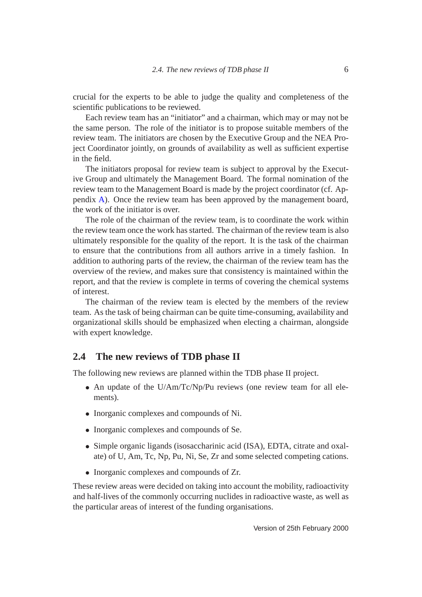crucial for the experts to be able to judge the quality and completeness of the scientific publications to be reviewed.

Each review team has an "initiator" and a chairman, which may or may not be the same person. The role of the initiator is to propose suitable members of the review team. The initiators are chosen by the Executive Group and the NEA Project Coordinator jointly, on grounds of availability as well as sufficient expertise in the field.

The initiators proposal for review team is subject to approval by the Executive Group and ultimately the Management Board. The formal nomination of the review team to the Management Board is made by the project coordinator (cf. Appendix [A\)](#page-16-0). Once the review team has been approved by the management board, the work of the initiator is over.

The role of the chairman of the review team, is to coordinate the work within the review team once the work has started. The chairman of the review team is also ultimately responsible for the quality of the report. It is the task of the chairman to ensure that the contributions from all authors arrive in a timely fashion. In addition to authoring parts of the review, the chairman of the review team has the overview of the review, and makes sure that consistency is maintained within the report, and that the review is complete in terms of covering the chemical systems of interest.

The chairman of the review team is elected by the members of the review team. As the task of being chairman can be quite time-consuming, availability and organizational skills should be emphasized when electing a chairman, alongside with expert knowledge.

#### <span id="page-6-0"></span>**2.4 The new reviews of TDB phase II**

The following new reviews are planned within the TDB phase II project.

- An update of the U/Am/Tc/Np/Pu reviews (one review team for all elements).
- Inorganic complexes and compounds of Ni.
- Inorganic complexes and compounds of Se.
- Simple organic ligands (isosaccharinic acid (ISA), EDTA, citrate and oxalate) of U, Am, Tc, Np, Pu, Ni, Se, Zr and some selected competing cations.
- Inorganic complexes and compounds of Zr.

These review areas were decided on taking into account the mobility, radioactivity and half-lives of the commonly occurring nuclides in radioactive waste, as well as the particular areas of interest of the funding organisations.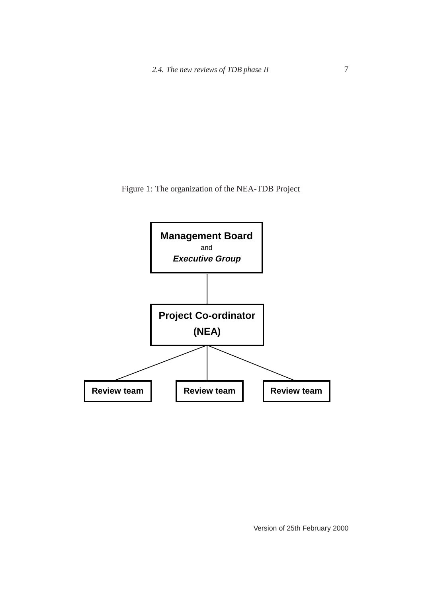<span id="page-7-0"></span>Figure 1: The organization of the NEA-TDB Project



Version of 25th February 2000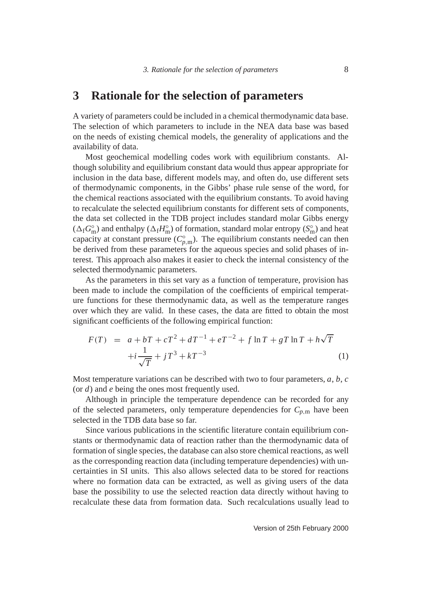# <span id="page-8-0"></span>**3 Rationale for the selection of parameters**

A variety of parameters could be included in a chemical thermodynamic data base. The selection of which parameters to include in the NEA data base was based on the needs of existing chemical models, the generality of applications and the availability of data.

Most geochemical modelling codes work with equilibrium constants. Although solubility and equilibrium constant data would thus appear appropriate for inclusion in the data base, different models may, and often do, use different sets of thermodynamic components, in the Gibbs' phase rule sense of the word, for the chemical reactions associated with the equilibrium constants. To avoid having to recalculate the selected equilibrium constants for different sets of components, the data set collected in the TDB project includes standard molar Gibbs energy  $(\Delta_f G_{\rm m}^{\circ})$  and enthalpy  $(\Delta_f H_{\rm m}^{\circ})$  of formation, standard molar entropy  $(S_{\rm m}^{\circ})$  and heat capacity at constant pressure  $(C_{p,m}^{\circ})$ . The equilibrium constants needed can then be derived from these parameters for the aqueous species and solid phases of interest. This approach also makes it easier to check the internal consistency of the selected thermodynamic parameters.

As the parameters in this set vary as a function of temperature, provision has been made to include the compilation of the coefficients of empirical temperature functions for these thermodynamic data, as well as the temperature ranges over which they are valid. In these cases, the data are fitted to obtain the most significant coefficients of the following empirical function:

<span id="page-8-1"></span>
$$
F(T) = a + bT + cT^{2} + dT^{-1} + eT^{-2} + f \ln T + gT \ln T + h\sqrt{T}
$$
  
+ $i \frac{1}{\sqrt{T}} + jT^{3} + kT^{-3}$  (1)

Most temperature variations can be described with two to four parameters, *a*, *b*, *c* (or *d*) and *e* being the ones most frequently used.

Although in principle the temperature dependence can be recorded for any of the selected parameters, only temperature dependencies for  $C_{p,m}$  have been selected in the TDB data base so far.

Since various publications in the scientific literature contain equilibrium constants or thermodynamic data of reaction rather than the thermodynamic data of formation of single species, the database can also store chemical reactions, as well as the corresponding reaction data (including temperature dependencies) with uncertainties in SI units. This also allows selected data to be stored for reactions where no formation data can be extracted, as well as giving users of the data base the possibility to use the selected reaction data directly without having to recalculate these data from formation data. Such recalculations usually lead to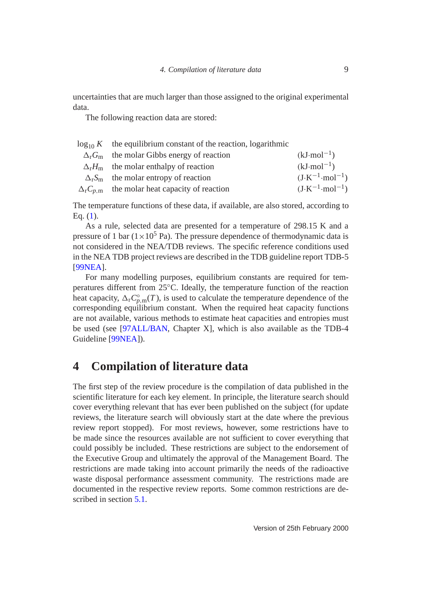<span id="page-9-1"></span>uncertainties that are much larger than those assigned to the original experimental data.

The following reaction data are stored:

| $\log_{10} K$ the equilibrium constant of the reaction, logarithmic |                                   |
|---------------------------------------------------------------------|-----------------------------------|
| $\Delta_{r}G_{m}$ the molar Gibbs energy of reaction                | $(kJ \cdot mol^{-1})$             |
| $\Delta_r H_m$ the molar enthalpy of reaction                       | $(kJ \cdot mol^{-1})$             |
| $\Delta_{r}S_{m}$ the molar entropy of reaction                     | $(J \cdot K^{-1} \cdot mol^{-1})$ |
| $\Delta_{\rm r} C_{p,m}$ the molar heat capacity of reaction        | $(J \cdot K^{-1} \cdot mol^{-1})$ |
|                                                                     |                                   |

The temperature functions of these data, if available, are also stored, according to Eq. [\(1\)](#page-8-1).

As a rule, selected data are presented for a temperature of 298.15 K and a pressure of 1 bar  $(1 \times 10^5 \text{ Pa})$ . The pressure dependence of thermodynamic data is not considered in the NEA/TDB reviews. The specific reference conditions used in the NEA TDB project reviews are described in the TDB guideline report TDB-5 [\[99NEA\]](#page-15-6).

For many modelling purposes, equilibrium constants are required for temperatures different from 25◦C. Ideally, the temperature function of the reaction heat capacity,  $\Delta_{r}C_{p,m}^{\circ}(T)$ , is used to calculate the temperature dependence of the corresponding equilibrium constant. When the required heat capacity functions are not available, various methods to estimate heat capacities and entropies must be used (see [\[97ALL/BAN,](#page-15-7) Chapter X], which is also available as the TDB-4 Guideline [\[99NEA\]](#page-15-6)).

# <span id="page-9-0"></span>**4 Compilation of literature data**

The first step of the review procedure is the compilation of data published in the scientific literature for each key element. In principle, the literature search should cover everything relevant that has ever been published on the subject (for update reviews, the literature search will obviously start at the date where the previous review report stopped). For most reviews, however, some restrictions have to be made since the resources available are not sufficient to cover everything that could possibly be included. These restrictions are subject to the endorsement of the Executive Group and ultimately the approval of the Management Board. The restrictions are made taking into account primarily the needs of the radioactive waste disposal performance assessment community. The restrictions made are documented in the respective review reports. Some common restrictions are described in section [5.1.](#page-10-1)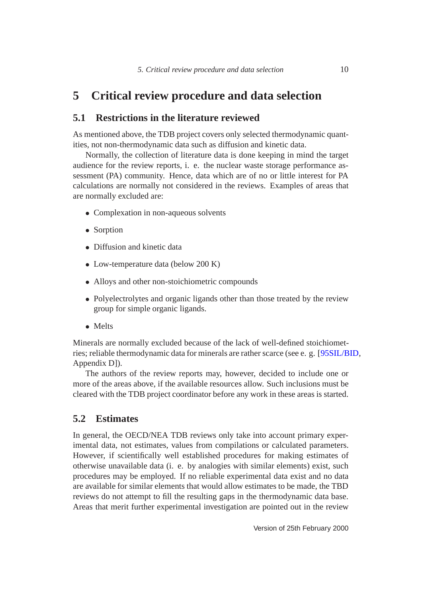# <span id="page-10-3"></span><span id="page-10-1"></span><span id="page-10-0"></span>**5 Critical review procedure and data selection**

### **5.1 Restrictions in the literature reviewed**

As mentioned above, the TDB project covers only selected thermodynamic quantities, not non-thermodynamic data such as diffusion and kinetic data.

Normally, the collection of literature data is done keeping in mind the target audience for the review reports, i. e. the nuclear waste storage performance assessment (PA) community. Hence, data which are of no or little interest for PA calculations are normally not considered in the reviews. Examples of areas that are normally excluded are:

- Complexation in non-aqueous solvents
- Sorption
- Diffusion and kinetic data
- Low-temperature data (below 200 K)
- Alloys and other non-stoichiometric compounds
- Polyelectrolytes and organic ligands other than those treated by the review group for simple organic ligands.
- Melts

Minerals are normally excluded because of the lack of well-defined stoichiometries; reliable thermodynamic data for minerals are rather scarce (see e. g. [\[95SIL/BID,](#page-15-8) Appendix D]).

The authors of the review reports may, however, decided to include one or more of the areas above, if the available resources allow. Such inclusions must be cleared with the TDB project coordinator before any work in these areas is started.

### <span id="page-10-2"></span>**5.2 Estimates**

In general, the OECD/NEA TDB reviews only take into account primary experimental data, not estimates, values from compilations or calculated parameters. However, if scientifically well established procedures for making estimates of otherwise unavailable data (i. e. by analogies with similar elements) exist, such procedures may be employed. If no reliable experimental data exist and no data are available for similar elements that would allow estimates to be made, the TBD reviews do not attempt to fill the resulting gaps in the thermodynamic data base. Areas that merit further experimental investigation are pointed out in the review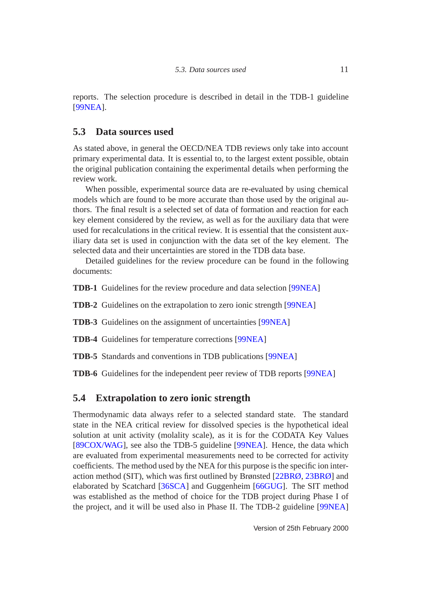<span id="page-11-2"></span>reports. The selection procedure is described in detail in the TDB-1 guideline [\[99NEA\]](#page-15-6).

# <span id="page-11-0"></span>**5.3 Data sources used**

As stated above, in general the OECD/NEA TDB reviews only take into account primary experimental data. It is essential to, to the largest extent possible, obtain the original publication containing the experimental details when performing the review work.

When possible, experimental source data are re-evaluated by using chemical models which are found to be more accurate than those used by the original authors. The final result is a selected set of data of formation and reaction for each key element considered by the review, as well as for the auxiliary data that were used for recalculations in the critical review. It is essential that the consistent auxiliary data set is used in conjunction with the data set of the key element. The selected data and their uncertainties are stored in the TDB data base.

Detailed guidelines for the review procedure can be found in the following documents:

**TDB-1** Guidelines for the review procedure and data selection [\[99NEA\]](#page-15-6)

**TDB-2** Guidelines on the extrapolation to zero ionic strength [\[99NEA\]](#page-15-6)

**TDB-3** Guidelines on the assignment of uncertainties [\[99NEA\]](#page-15-6)

**TDB-4** Guidelines for temperature corrections [\[99NEA\]](#page-15-6)

**TDB-5** Standards and conventions in TDB publications [\[99NEA\]](#page-15-6)

**TDB-6** Guidelines for the independent peer review of TDB reports [\[99NEA\]](#page-15-6)

# <span id="page-11-1"></span>**5.4 Extrapolation to zero ionic strength**

Thermodynamic data always refer to a selected standard state. The standard state in the NEA critical review for dissolved species is the hypothetical ideal solution at unit activity (molality scale), as it is for the CODATA Key Values [\[89COX/WAG\]](#page-15-0), see also the TDB-5 guideline [\[99NEA\]](#page-15-6). Hence, the data which are evaluated from experimental measurements need to be corrected for activity coefficients. The method used by the NEA for this purpose is the specific ion interaction method (SIT), which was first outlined by Brønsted [\[22BRØ,](#page-14-6) [23BRØ\]](#page-14-7) and elaborated by Scatchard [\[36SCA\]](#page-14-8) and Guggenheim [\[66GUG\]](#page-14-9). The SIT method was established as the method of choice for the TDB project during Phase I of the project, and it will be used also in Phase II. The TDB-2 guideline [\[99NEA\]](#page-15-6)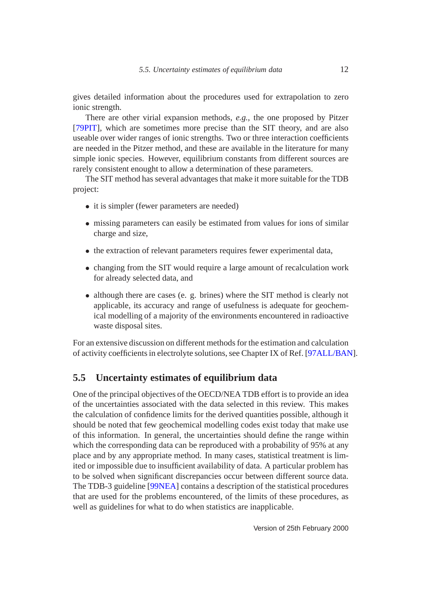<span id="page-12-1"></span>gives detailed information about the procedures used for extrapolation to zero ionic strength.

There are other virial expansion methods, *e.g.*, the one proposed by Pitzer [\[79PIT\]](#page-14-10), which are sometimes more precise than the SIT theory, and are also useable over wider ranges of ionic strengths. Two or three interaction coefficients are needed in the Pitzer method, and these are available in the literature for many simple ionic species. However, equilibrium constants from different sources are rarely consistent enought to allow a determination of these parameters.

The SIT method has several advantages that make it more suitable for the TDB project:

- it is simpler (fewer parameters are needed)
- missing parameters can easily be estimated from values for ions of similar charge and size,
- the extraction of relevant parameters requires fewer experimental data,
- changing from the SIT would require a large amount of recalculation work for already selected data, and
- although there are cases (e. g. brines) where the SIT method is clearly not applicable, its accuracy and range of usefulness is adequate for geochemical modelling of a majority of the environments encountered in radioactive waste disposal sites.

For an extensive discussion on different methods for the estimation and calculation of activity coefficients in electrolyte solutions, see Chapter IX of Ref. [\[97ALL/BAN\]](#page-15-7).

### <span id="page-12-0"></span>**5.5 Uncertainty estimates of equilibrium data**

One of the principal objectives of the OECD/NEA TDB effort is to provide an idea of the uncertainties associated with the data selected in this review. This makes the calculation of confidence limits for the derived quantities possible, although it should be noted that few geochemical modelling codes exist today that make use of this information. In general, the uncertainties should define the range within which the corresponding data can be reproduced with a probability of 95% at any place and by any appropriate method. In many cases, statistical treatment is limited or impossible due to insufficient availability of data. A particular problem has to be solved when significant discrepancies occur between different source data. The TDB-3 guideline [\[99NEA\]](#page-15-6) contains a description of the statistical procedures that are used for the problems encountered, of the limits of these procedures, as well as guidelines for what to do when statistics are inapplicable.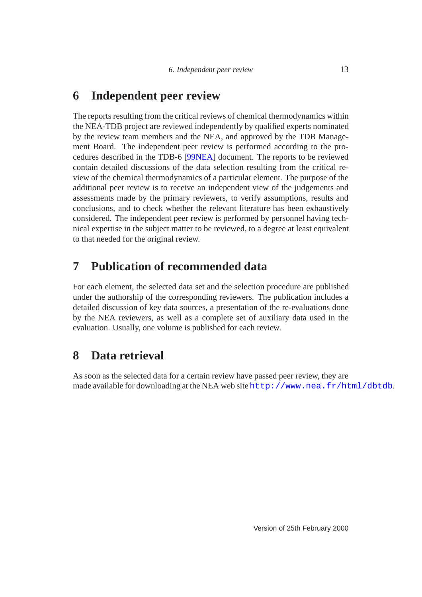# <span id="page-13-3"></span><span id="page-13-0"></span>**6 Independent peer review**

The reports resulting from the critical reviews of chemical thermodynamics within the NEA-TDB project are reviewed independently by qualified experts nominated by the review team members and the NEA, and approved by the TDB Management Board. The independent peer review is performed according to the procedures described in the TDB-6 [\[99NEA\]](#page-15-6) document. The reports to be reviewed contain detailed discussions of the data selection resulting from the critical review of the chemical thermodynamics of a particular element. The purpose of the additional peer review is to receive an independent view of the judgements and assessments made by the primary reviewers, to verify assumptions, results and conclusions, and to check whether the relevant literature has been exhaustively considered. The independent peer review is performed by personnel having technical expertise in the subject matter to be reviewed, to a degree at least equivalent to that needed for the original review.

# <span id="page-13-1"></span>**7 Publication of recommended data**

For each element, the selected data set and the selection procedure are published under the authorship of the corresponding reviewers. The publication includes a detailed discussion of key data sources, a presentation of the re-evaluations done by the NEA reviewers, as well as a complete set of auxiliary data used in the evaluation. Usually, one volume is published for each review.

# <span id="page-13-2"></span>**8 Data retrieval**

As soon as the selected data for a certain review have passed peer review, they are made available for downloading at the NEA web site <http://www.nea.fr/html/dbtdb>.

Version of 25th February 2000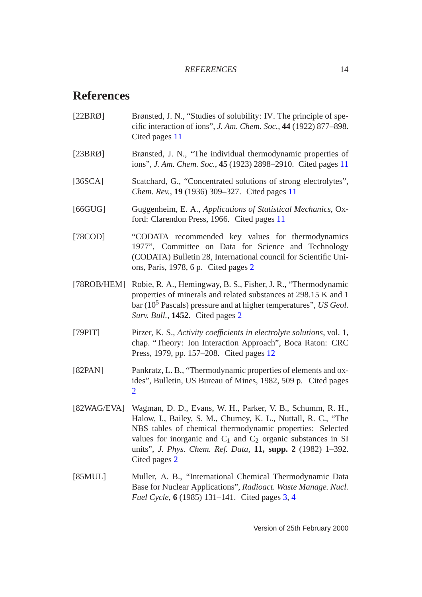# <span id="page-14-0"></span>**References**

- <span id="page-14-6"></span>[22BRØ] Brønsted, J. N., "Studies of solubility: IV. The principle of specific interaction of ions", *J. Am. Chem. Soc.*, **44** (1922) 877–898. Cited pages [11](#page-11-2)
- <span id="page-14-7"></span>[23BRØ] Brønsted, J. N., "The individual thermodynamic properties of ions", *J. Am. Chem. Soc.*, **45** (1923) 2898–2910. Cited pages [11](#page-11-2)
- <span id="page-14-8"></span>[36SCA] Scatchard, G., "Concentrated solutions of strong electrolytes", *Chem. Rev.*, **19** (1936) 309–327. Cited pages [11](#page-11-2)
- <span id="page-14-9"></span>[66GUG] Guggenheim, E. A., *Applications of Statistical Mechanics*, Oxford: Clarendon Press, 1966. Cited pages [11](#page-11-2)
- <span id="page-14-4"></span>[78COD] "CODATA recommended key values for thermodynamics 1977", Committee on Data for Science and Technology (CODATA) Bulletin 28, International council for Scientific Unions, Paris, 1978, 6 p. Cited pages [2](#page-2-3)
- <span id="page-14-2"></span>[78ROB/HEM] Robie, R. A., Hemingway, B. S., Fisher, J. R., "Thermodynamic properties of minerals and related substances at 298.15 K and 1 bar (10<sup>5</sup> Pascals) pressure and at higher temperatures", *US Geol. Surv. Bull.*, **1452**. Cited pages [2](#page-2-3)
- <span id="page-14-10"></span>[79PIT] Pitzer, K. S., *Activity coefficients in electrolyte solutions*, vol. 1, chap. "Theory: Ion Interaction Approach", Boca Raton: CRC Press, 1979, pp. 157–208. Cited pages [12](#page-12-1)
- <span id="page-14-3"></span>[82PAN] Pankratz, L. B., "Thermodynamic properties of elements and oxides", Bulletin, US Bureau of Mines, 1982, 509 p. Cited pages [2](#page-2-3)
- <span id="page-14-1"></span>[82WAG/EVA] Wagman, D. D., Evans, W. H., Parker, V. B., Schumm, R. H., Halow, I., Bailey, S. M., Churney, K. L., Nuttall, R. C., "The NBS tables of chemical thermodynamic properties: Selected values for inorganic and  $C_1$  and  $C_2$  organic substances in SI units", *J. Phys. Chem. Ref. Data*, **11, supp. 2** (1982) 1–392. Cited pages [2](#page-2-3)
- <span id="page-14-5"></span>[85MUL] Muller, A. B., "International Chemical Thermodynamic Data Base for Nuclear Applications", *Radioact. Waste Manage. Nucl. Fuel Cycle*, **6** (1985) 131–141. Cited pages [3,](#page-3-2) [4](#page-4-3)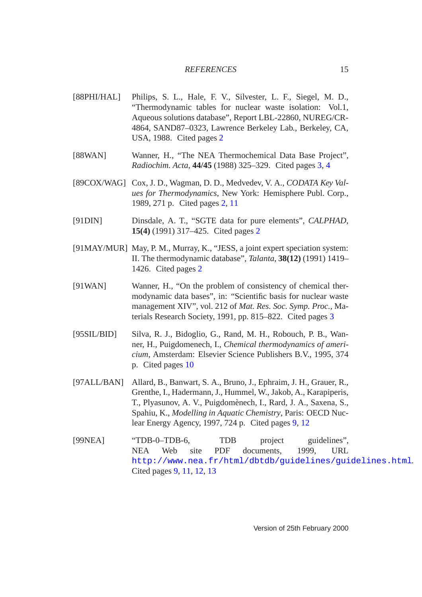#### *REFERENCES* 15

- <span id="page-15-2"></span>[88PHI/HAL] Philips, S. L., Hale, F. V., Silvester, L. F., Siegel, M. D., "Thermodynamic tables for nuclear waste isolation: Vol.1, Aqueous solutions database", Report LBL-22860, NUREG/CR-4864, SAND87–0323, Lawrence Berkeley Lab., Berkeley, CA, USA, 1988. Cited pages [2](#page-2-3)
- <span id="page-15-4"></span>[88WAN] Wanner, H., "The NEA Thermochemical Data Base Project", *Radiochim. Acta*, **44/45** (1988) 325–329. Cited pages [3,](#page-3-2) [4](#page-4-3)
- <span id="page-15-0"></span>[89COX/WAG] Cox, J. D., Wagman, D. D., Medvedev, V. A., *CODATA Key Values for Thermodynamics*, New York: Hemisphere Publ. Corp., 1989, 271 p. Cited pages [2,](#page-2-3) [11](#page-11-2)
- <span id="page-15-1"></span>[91DIN] Dinsdale, A. T., "SGTE data for pure elements", *CALPHAD*, **15(4)** (1991) 317–425. Cited pages [2](#page-2-3)
- <span id="page-15-3"></span>[91MAY/MUR] May, P. M., Murray, K., "JESS, a joint expert speciation system: II. The thermodynamic database", *Talanta*, **38(12)** (1991) 1419– 1426. Cited pages [2](#page-2-3)
- <span id="page-15-5"></span>[91WAN] Wanner, H., "On the problem of consistency of chemical thermodynamic data bases", in: "Scientific basis for nuclear waste management XIV", vol. 212 of *Mat. Res. Soc. Symp. Proc.*, Materials Research Society, 1991, pp. 815–822. Cited pages [3](#page-3-2)
- <span id="page-15-8"></span>[95SIL/BID] Silva, R. J., Bidoglio, G., Rand, M. H., Robouch, P. B., Wanner, H., Puigdomenech, I., *Chemical thermodynamics of americium*, Amsterdam: Elsevier Science Publishers B.V., 1995, 374 p. Cited pages [10](#page-10-3)
- <span id="page-15-7"></span>[97ALL/BAN] Allard, B., Banwart, S. A., Bruno, J., Ephraim, J. H., Grauer, R., Grenthe, I., Hadermann, J., Hummel, W., Jakob, A., Karapiperis, T., Plyasunov, A. V., Puigdomènech, I., Rard, J. A., Saxena, S., Spahiu, K., *Modelling in Aquatic Chemistry*, Paris: OECD Nuclear Energy Agency, 1997, 724 p. Cited pages [9,](#page-9-1) [12](#page-12-1)
- <span id="page-15-6"></span>[99NEA] "TDB-0–TDB-6, TDB project guidelines", NEA Web site PDF documents, 1999, URL <http://www.nea.fr/html/dbtdb/guidelines/guidelines.html>. Cited pages [9,](#page-9-1) [11,](#page-11-2) [12,](#page-12-1) [13](#page-13-3)

Version of 25th February 2000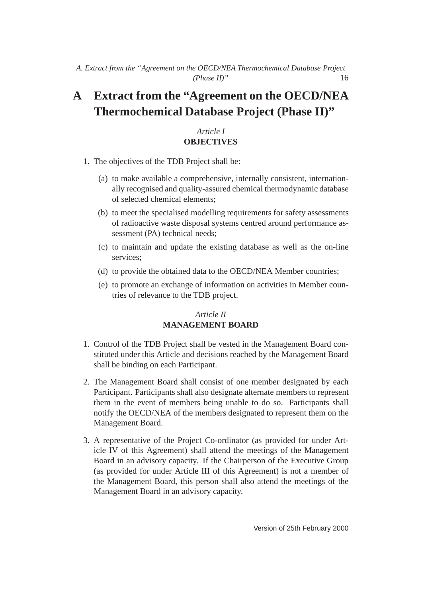# <span id="page-16-0"></span>**A Extract from the "Agreement on the OECD/NEA Thermochemical Database Project (Phase II)"**

# *Article I* **OBJECTIVES**

- 1. The objectives of the TDB Project shall be:
	- (a) to make available a comprehensive, internally consistent, internationally recognised and quality-assured chemical thermodynamic database of selected chemical elements;
	- (b) to meet the specialised modelling requirements for safety assessments of radioactive waste disposal systems centred around performance assessment (PA) technical needs;
	- (c) to maintain and update the existing database as well as the on-line services;
	- (d) to provide the obtained data to the OECD/NEA Member countries;
	- (e) to promote an exchange of information on activities in Member countries of relevance to the TDB project.

# *Article II* **MANAGEMENT BOARD**

- 1. Control of the TDB Project shall be vested in the Management Board constituted under this Article and decisions reached by the Management Board shall be binding on each Participant.
- 2. The Management Board shall consist of one member designated by each Participant. Participants shall also designate alternate members to represent them in the event of members being unable to do so. Participants shall notify the OECD/NEA of the members designated to represent them on the Management Board.
- 3. A representative of the Project Co-ordinator (as provided for under Article IV of this Agreement) shall attend the meetings of the Management Board in an advisory capacity. If the Chairperson of the Executive Group (as provided for under Article III of this Agreement) is not a member of the Management Board, this person shall also attend the meetings of the Management Board in an advisory capacity.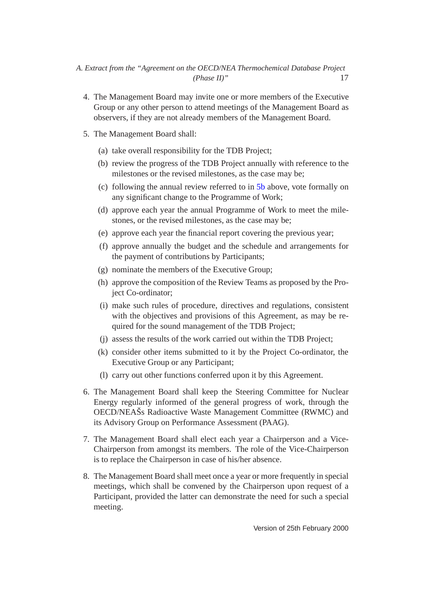### *A. Extract from the "Agreement on the OECD/NEA Thermochemical Database Project (Phase II)"* 17

- 4. The Management Board may invite one or more members of the Executive Group or any other person to attend meetings of the Management Board as observers, if they are not already members of the Management Board.
- <span id="page-17-0"></span>5. The Management Board shall:
	- (a) take overall responsibility for the TDB Project;
	- (b) review the progress of the TDB Project annually with reference to the milestones or the revised milestones, as the case may be;
	- (c) following the annual review referred to in [5b](#page-17-0) above, vote formally on any significant change to the Programme of Work;
	- (d) approve each year the annual Programme of Work to meet the milestones, or the revised milestones, as the case may be;
	- (e) approve each year the financial report covering the previous year;
	- (f) approve annually the budget and the schedule and arrangements for the payment of contributions by Participants;
	- (g) nominate the members of the Executive Group;
	- (h) approve the composition of the Review Teams as proposed by the Project Co-ordinator;
	- (i) make such rules of procedure, directives and regulations, consistent with the objectives and provisions of this Agreement, as may be required for the sound management of the TDB Project;
	- (j) assess the results of the work carried out within the TDB Project;
	- (k) consider other items submitted to it by the Project Co-ordinator, the Executive Group or any Participant;
	- (l) carry out other functions conferred upon it by this Agreement.
- 6. The Management Board shall keep the Steering Committee for Nuclear Energy regularly informed of the general progress of work, through the OECD/NEAŠs Radioactive Waste Management Committee (RWMC) and its Advisory Group on Performance Assessment (PAAG).
- 7. The Management Board shall elect each year a Chairperson and a Vice-Chairperson from amongst its members. The role of the Vice-Chairperson is to replace the Chairperson in case of his/her absence.
- 8. The Management Board shall meet once a year or more frequently in special meetings, which shall be convened by the Chairperson upon request of a Participant, provided the latter can demonstrate the need for such a special meeting.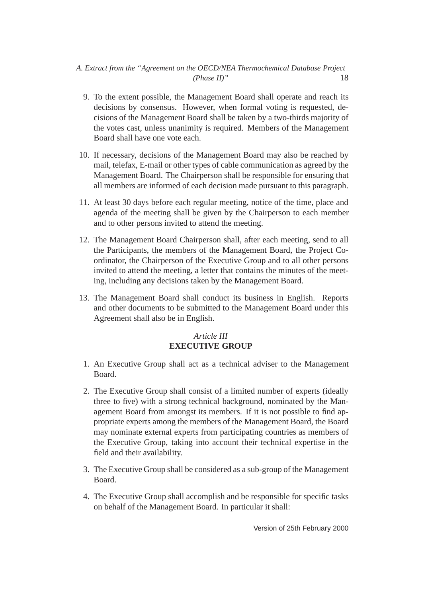## *A. Extract from the "Agreement on the OECD/NEA Thermochemical Database Project (Phase II)"* 18

- 9. To the extent possible, the Management Board shall operate and reach its decisions by consensus. However, when formal voting is requested, decisions of the Management Board shall be taken by a two-thirds majority of the votes cast, unless unanimity is required. Members of the Management Board shall have one vote each.
- 10. If necessary, decisions of the Management Board may also be reached by mail, telefax, E-mail or other types of cable communication as agreed by the Management Board. The Chairperson shall be responsible for ensuring that all members are informed of each decision made pursuant to this paragraph.
- 11. At least 30 days before each regular meeting, notice of the time, place and agenda of the meeting shall be given by the Chairperson to each member and to other persons invited to attend the meeting.
- 12. The Management Board Chairperson shall, after each meeting, send to all the Participants, the members of the Management Board, the Project Coordinator, the Chairperson of the Executive Group and to all other persons invited to attend the meeting, a letter that contains the minutes of the meeting, including any decisions taken by the Management Board.
- 13. The Management Board shall conduct its business in English. Reports and other documents to be submitted to the Management Board under this Agreement shall also be in English.

# *Article III* **EXECUTIVE GROUP**

- 1. An Executive Group shall act as a technical adviser to the Management Board.
- 2. The Executive Group shall consist of a limited number of experts (ideally three to five) with a strong technical background, nominated by the Management Board from amongst its members. If it is not possible to find appropriate experts among the members of the Management Board, the Board may nominate external experts from participating countries as members of the Executive Group, taking into account their technical expertise in the field and their availability.
- 3. The Executive Group shall be considered as a sub-group of the Management Board.
- 4. The Executive Group shall accomplish and be responsible for specific tasks on behalf of the Management Board. In particular it shall: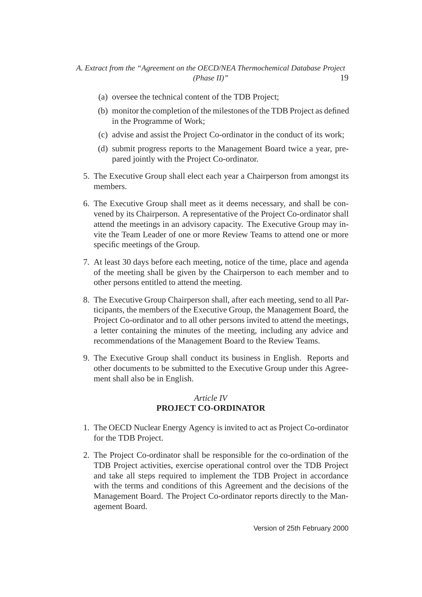- (a) oversee the technical content of the TDB Project;
- (b) monitor the completion of the milestones of the TDB Project as defined in the Programme of Work;
- (c) advise and assist the Project Co-ordinator in the conduct of its work;
- (d) submit progress reports to the Management Board twice a year, prepared jointly with the Project Co-ordinator.
- 5. The Executive Group shall elect each year a Chairperson from amongst its members.
- 6. The Executive Group shall meet as it deems necessary, and shall be convened by its Chairperson. A representative of the Project Co-ordinator shall attend the meetings in an advisory capacity. The Executive Group may invite the Team Leader of one or more Review Teams to attend one or more specific meetings of the Group.
- 7. At least 30 days before each meeting, notice of the time, place and agenda of the meeting shall be given by the Chairperson to each member and to other persons entitled to attend the meeting.
- 8. The Executive Group Chairperson shall, after each meeting, send to all Participants, the members of the Executive Group, the Management Board, the Project Co-ordinator and to all other persons invited to attend the meetings, a letter containing the minutes of the meeting, including any advice and recommendations of the Management Board to the Review Teams.
- 9. The Executive Group shall conduct its business in English. Reports and other documents to be submitted to the Executive Group under this Agreement shall also be in English.

### *Article IV* **PROJECT CO-ORDINATOR**

- 1. The OECD Nuclear Energy Agency is invited to act as Project Co-ordinator for the TDB Project.
- 2. The Project Co-ordinator shall be responsible for the co-ordination of the TDB Project activities, exercise operational control over the TDB Project and take all steps required to implement the TDB Project in accordance with the terms and conditions of this Agreement and the decisions of the Management Board. The Project Co-ordinator reports directly to the Management Board.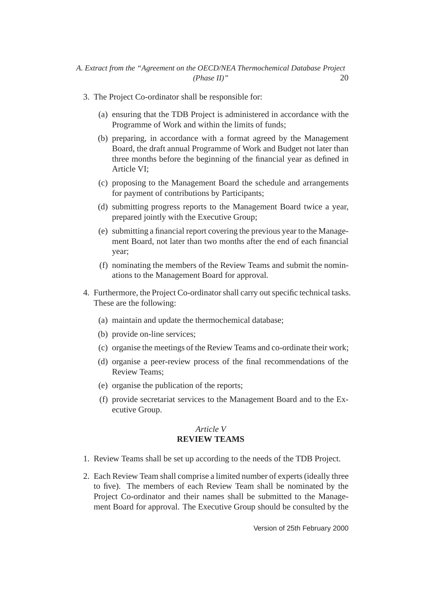- 3. The Project Co-ordinator shall be responsible for:
	- (a) ensuring that the TDB Project is administered in accordance with the Programme of Work and within the limits of funds;
	- (b) preparing, in accordance with a format agreed by the Management Board, the draft annual Programme of Work and Budget not later than three months before the beginning of the financial year as defined in Article VI;
	- (c) proposing to the Management Board the schedule and arrangements for payment of contributions by Participants;
	- (d) submitting progress reports to the Management Board twice a year, prepared jointly with the Executive Group;
	- (e) submitting a financial report covering the previous year to the Management Board, not later than two months after the end of each financial year;
	- (f) nominating the members of the Review Teams and submit the nominations to the Management Board for approval.
- 4. Furthermore, the Project Co-ordinator shall carry out specific technical tasks. These are the following:
	- (a) maintain and update the thermochemical database;
	- (b) provide on-line services;
	- (c) organise the meetings of the Review Teams and co-ordinate their work;
	- (d) organise a peer-review process of the final recommendations of the Review Teams;
	- (e) organise the publication of the reports;
	- (f) provide secretariat services to the Management Board and to the Executive Group.

#### *Article V* **REVIEW TEAMS**

- 1. Review Teams shall be set up according to the needs of the TDB Project.
- 2. Each Review Team shall comprise a limited number of experts (ideally three to five). The members of each Review Team shall be nominated by the Project Co-ordinator and their names shall be submitted to the Management Board for approval. The Executive Group should be consulted by the